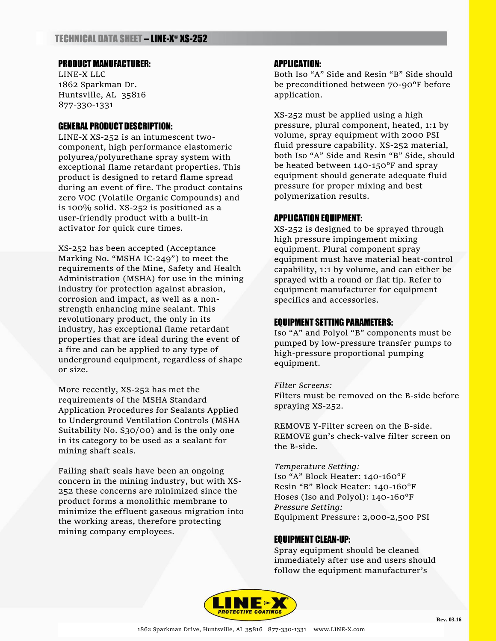### PRODUCT MANUFACTURER:

LINE-X LLC 1862 Sparkman Dr. Huntsville, AL 35816 877-330-1331

### GENERAL PRODUCT DESCRIPTION:

LINE-X XS-252 is an intumescent twocomponent, high performance elastomeric polyurea/polyurethane spray system with exceptional flame retardant properties. This product is designed to retard flame spread during an event of fire. The product contains zero VOC (Volatile Organic Compounds) and is 100% solid. XS-252 is positioned as a user-friendly product with a built-in activator for quick cure times.

XS-252 has been accepted (Acceptance Marking No. "MSHA IC-249") to meet the requirements of the Mine, Safety and Health Administration (MSHA) for use in the mining industry for protection against abrasion, corrosion and impact, as well as a nonstrength enhancing mine sealant. This revolutionary product, the only in its industry, has exceptional flame retardant properties that are ideal during the event of a fire and can be applied to any type of underground equipment, regardless of shape or size.

More recently, XS-252 has met the requirements of the MSHA Standard Application Procedures for Sealants Applied to Underground Ventilation Controls (MSHA Suitability No. S30/00) and is the only one in its category to be used as a sealant for mining shaft seals.

Failing shaft seals have been an ongoing concern in the mining industry, but with XS-252 these concerns are minimized since the product forms a monolithic membrane to minimize the effluent gaseous migration into the working areas, therefore protecting mining company employees.

# APPLICATION:

Both Iso "A" Side and Resin "B" Side should be preconditioned between 70-90°F before application.

XS-252 must be applied using a high pressure, plural component, heated, 1:1 by volume, spray equipment with 2000 PSI fluid pressure capability. XS-252 material, both Iso "A" Side and Resin "B" Side, should be heated between 140-150°F and spray equipment should generate adequate fluid pressure for proper mixing and best polymerization results.

## APPLICATION EQUIPMENT:

XS-252 is designed to be sprayed through high pressure impingement mixing equipment. Plural component spray equipment must have material heat-control capability, 1:1 by volume, and can either be sprayed with a round or flat tip. Refer to equipment manufacturer for equipment specifics and accessories.

### EQUIPMENT SETTING PARAMETERS:

Iso "A" and Polyol "B" components must be pumped by low-pressure transfer pumps to high-pressure proportional pumping equipment.

### *Filter Screens:*

Filters must be removed on the B-side before spraying XS-252.

REMOVE Y-Filter screen on the B-side. REMOVE gun's check-valve filter screen on the B-side.

### *Temperature Setting:*

Iso "A" Block Heater: 140-160°F Resin "B" Block Heater: 140-160°F Hoses (Iso and Polyol): 140-160°F *Pressure Setting:* Equipment Pressure: 2,000-2,500 PSI

## EQUIPMENT CLEAN-UP:

Spray equipment should be cleaned immediately after use and users should follow the equipment manufacturer's

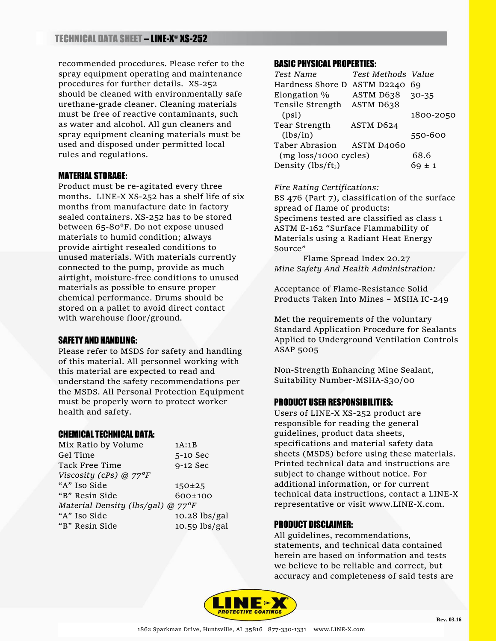recommended procedures. Please refer to the spray equipment operating and maintenance procedures for further details. XS-252 should be cleaned with environmentally safe urethane-grade cleaner. Cleaning materials must be free of reactive contaminants, such as water and alcohol. All gun cleaners and spray equipment cleaning materials must be used and disposed under permitted local rules and regulations.

# MATERIAL STORAGE:

Product must be re-agitated every three months. LINE-X XS-252 has a shelf life of six months from manufacture date in factory sealed containers. XS-252 has to be stored between 65-80°F. Do not expose unused materials to humid condition; always provide airtight resealed conditions to unused materials. With materials currently connected to the pump, provide as much airtight, moisture-free conditions to unused materials as possible to ensure proper chemical performance. Drums should be stored on a pallet to avoid direct contact with warehouse floor/ground.

### SAFETY AND HANDLING:

Please refer to MSDS for safety and handling of this material. All personnel working with this material are expected to read and understand the safety recommendations per the MSDS. All Personal Protection Equipment must be properly worn to protect worker health and safety.

### CHEMICAL TECHNICAL DATA:

| Mix Ratio by Volume                        | 1A:1B           |  |  |
|--------------------------------------------|-----------------|--|--|
| Gel Time                                   | 5-10 Sec        |  |  |
| Tack Free Time                             | 9-12 Sec        |  |  |
| Viscosity (cPs) $@ 77^{\circ}F$            |                 |  |  |
| "A" Iso Side                               | $150 + 25$      |  |  |
| "B" Resin Side                             | 600±100         |  |  |
| Material Density (lbs/gal) $@ 77^{\circ}F$ |                 |  |  |
| "A" Iso Side                               | 10.28 lbs/gal   |  |  |
| "B" Resin Side                             | $10.59$ lbs/gal |  |  |
|                                            |                 |  |  |

# BASIC PHYSICAL PROPERTIES:

| Test Name                  | Test Methods Value |           |
|----------------------------|--------------------|-----------|
| Hardness Shore D           | ASTM D2240         | 69        |
| Elongation $\%$            | ASTM D638          | $30 - 35$ |
| Tensile Strength ASTM D638 |                    |           |
| (psi)                      |                    | 1800-2050 |
| Tear Strength              | ASTM D624          |           |
| (lbs/in)                   |                    | 550-600   |
| Taber Abrasion ASTM D4060  |                    |           |
| (mg loss/1000 cycles)      |                    | 68.6      |
| Density ( $\frac{1}{5}$ )  |                    | 69 ± 1    |

## *Fire Rating Certifications:*

BS 476 (Part 7), classification of the surface spread of flame of products: Specimens tested are classified as class 1 ASTM E-162 "Surface Flammability of Materials using a Radiant Heat Energy Source"

Flame Spread Index 20.27 *Mine Safety And Health Administration:*

Acceptance of Flame-Resistance Solid Products Taken Into Mines – MSHA IC-249

Met the requirements of the voluntary Standard Application Procedure for Sealants Applied to Underground Ventilation Controls ASAP 5005

Non-Strength Enhancing Mine Sealant, Suitability Number-MSHA-S30/00

## PRODUCT USER RESPONSIBILITIES:

Users of LINE-X XS-252 product are responsible for reading the general guidelines, product data sheets, specifications and material safety data sheets (MSDS) before using these materials. Printed technical data and instructions are subject to change without notice. For additional information, or for current technical data instructions, contact a LINE-X representative or visit www.LINE-X.com.

## PRODUCT DISCLAIMER:

All guidelines, recommendations, statements, and technical data contained herein are based on information and tests we believe to be reliable and correct, but accuracy and completeness of said tests are